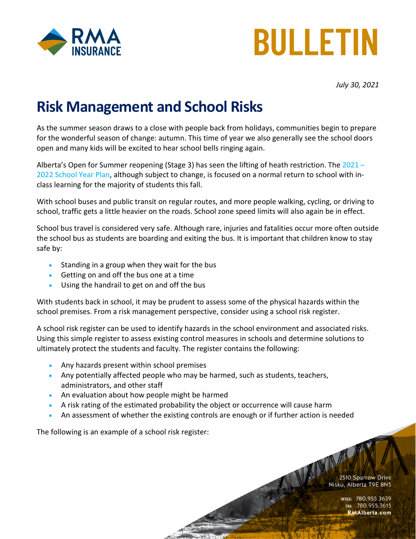



*July 30, 2021*

# **Risk Management and School Risks**

As the summer season draws to a close with people back from holidays, communities begin to prepare for the wonderful season of change: autumn. This time of year we also generally see the school doors open and many kids will be excited to hear school bells ringing again.

Alberta's Open for Summer reopening (Stage 3) has seen the lifting of heath restriction. The 2021 -[2022 School Year Plan,](https://open.alberta.ca/dataset/13d2242a-d310-419e-960c-6fe273d0f7b3/resource/ddac0c8a-a68d-46e1-9d76-2a4d34385273/download/edc-school-year-plan-2021-2022.pdf) although subject to change, is focused on a normal return to school with inclass learning for the majority of students this fall.

With school buses and public transit on regular routes, and more people walking, cycling, or driving to school, traffic gets a little heavier on the roads. School zone speed limits will also again be in effect.

School bus travel is considered very safe. Although rare, injuries and fatalities occur more often outside the school bus as students are boarding and exiting the bus. It is important that children know to stay safe by:

- Standing in a group when they wait for the bus
- Getting on and off the bus one at a time
- Using the handrail to get on and off the bus

With students back in school, it may be prudent to assess some of the physical hazards within the school premises. From a risk management perspective, consider using a school risk register.

A school risk register can be used to identify hazards in the school environment and associated risks. Using this simple register to assess existing control measures in schools and determine solutions to ultimately protect the students and faculty. The register contains the following:

- Any hazards present within school premises
- Any potentially affected people who may be harmed, such as students, teachers, administrators, and other staff
- An evaluation about how people might be harmed
- A risk rating of the estimated probability the object or occurrence will cause harm
- An assessment of whether the existing controls are enough or if further action is needed

The following is an example of a school risk register:

ANA A 2510 Sparrow Drive Nisku, Alberta T9E 8N5

OFFICE: 780.955.3639<br>Fax: 780.955.3615 **RMAlberta.com**